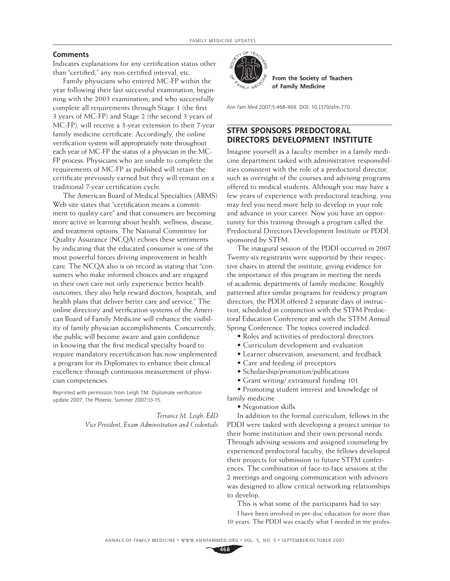## **Comments**

Indicates explanations for any certification status other than "certified," any non-certified interval, etc.

Family physicians who entered MC-FP within the year following their last successful examination, beginning with the 2003 examination, and who successfully complete all requirements through Stage 1 (the first 3 years of MC-FP) and Stage 2 (the second 3 years of MC-FP), will receive a 3-year extension to their 7-year family medicine certificate. Accordingly, the online verification system will appropriately note throughout each year of MC-FP the status of a physician in the MC-FP process. Physicians who are unable to complete the requirements of MC-FP as published will retain the certificate previously earned but they will remain on a traditional 7-year certification cycle.

The American Board of Medical Specialties (ABMS) Web site states that "certification means a commitment to quality care" and that consumers are becoming more active in learning about health, wellness, disease, and treatment options. The National Committee for Quality Assurance (NCQA) echoes these sentiments by indicating that the educated consumer is one of the most powerful forces driving improvement in health care. The NCQA also is on record as stating that "consumers who make informed choices and are engaged in their own care not only experience better health outcomes, they also help reward doctors, hospitals, and health plans that deliver better care and service." The online directory and verification systems of the American Board of Family Medicine will enhance the visibility of family physician accomplishments. Concurrently, the public will become aware and gain confidence in knowing that the first medical specialty board to require mandatory recertification has now implemented a program for its Diplomates to enhance their clinical excellence through continuous measurement of physician competencies.

Reprinted with permission from Leigh TM. Diplomate verification update 2007. The Phoenix. Summer 2007:13-15.

> *Terrance M. Leigh, EdD Vice President, Exam Administration and Credentials*



 **of Family Medicine From the Society of Teachers** 

Ann Fam Med 2007;5:468-469. DOI: 10.1370/afm.770.

## **STFM SPONSORS PREDOCTORAL DIRECTORS DEVELOPMENT INSTITUTE**

Imagine yourself as a faculty member in a family medicine department tasked with administrative responsibilities consistent with the role of a predoctoral director, such as oversight of the courses and advising programs offered to medical students. Although you may have a few years of experience with predoctoral teaching, you may feel you need more help to develop in your role and advance in your career. Now you have an opportunity for this training through a program called the Predoctoral Directors Development Institute or PDDI, sponsored by STFM.

The inaugural session of the PDDI occurred in 2007. Twenty-six registrants were supported by their respective chairs to attend the institute, giving evidence for the importance of this program in meeting the needs of academic departments of family medicine. Roughly patterned after similar programs for residency program directors, the PDDI offered 2 separate days of instruction, scheduled in conjunction with the STFM Predoctoral Education Conference and with the STFM Annual Spring Conference. The topics covered included:

- Roles and activities of predoctoral directors
- Curriculum development and evaluation
- Learner observation, assessment, and feedback
- Care and feeding of preceptors
- Scholarship/promotion/publications
- Grant writing/ extramural funding 101

• Promoting student interest and knowledge of family medicine

• Negotiation skills

In addition to the formal curriculum, fellows in the PDDI were tasked with developing a project unique to their home institution and their own personal needs. Through advising sessions and assigned counseling by experienced predoctoral faculty, the fellows developed their projects for submission to future STFM conferences. The combination of face-to-face sessions at the 2 meetings and ongoing communication with advisors was designed to allow critical networking relationships to develop.

This is what some of the participants had to say:

I have been involved in pre-doc education for more than 10 years. The PDDI was exactly what I needed in my profes-

**468**